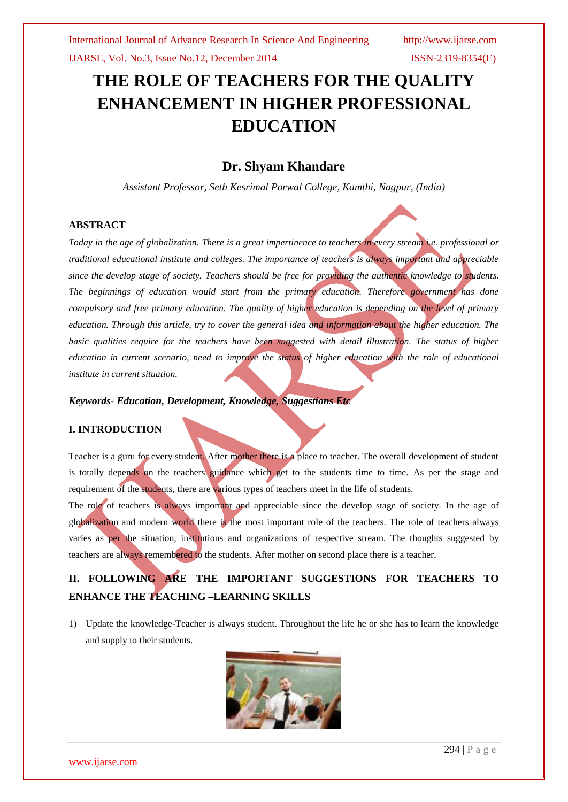# **THE ROLE OF TEACHERS FOR THE QUALITY ENHANCEMENT IN HIGHER PROFESSIONAL EDUCATION**

## **Dr. Shyam Khandare**

*Assistant Professor, Seth Kesrimal Porwal College, Kamthi, Nagpur, (India)*

### **ABSTRACT**

*Today in the age of globalization. There is a great impertinence to teachers in every stream i.e. professional or traditional educational institute and colleges. The importance of teachers is always important and appreciable since the develop stage of society. Teachers should be free for providing the authentic knowledge to students. The beginnings of education would start from the primary education. Therefore government has done compulsory and free primary education. The quality of higher education is depending on the level of primary education. Through this article, try to cover the general idea and information about the higher education. The basic qualities require for the teachers have been suggested with detail illustration. The status of higher education in current scenario, need to improve the status of higher education with the role of educational institute in current situation.*

*Keywords- Education, Development, Knowledge, Suggestions Etc*

### **I. INTRODUCTION**

Teacher is a guru for every student. After mother there is a place to teacher. The overall development of student is totally depends on the teachers guidance which get to the students time to time. As per the stage and requirement of the students, there are various types of teachers meet in the life of students.

The role of teachers is always important and appreciable since the develop stage of society. In the age of globalization and modern world there is the most important role of the teachers. The role of teachers always varies as per the situation, institutions and organizations of respective stream. The thoughts suggested by teachers are always remembered to the students. After mother on second place there is a teacher.

# **II. FOLLOWING ARE THE IMPORTANT SUGGESTIONS FOR TEACHERS TO ENHANCE THE TEACHING –LEARNING SKILLS**

1) Update the knowledge-Teacher is always student. Throughout the life he or she has to learn the knowledge and supply to their students.

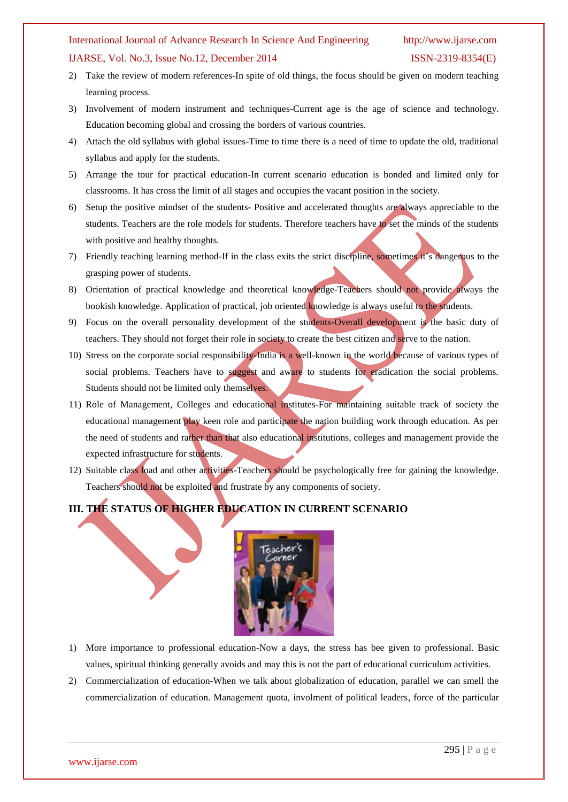### International Journal of Advance Research In Science And Engineering http://www.ijarse.com

### IJARSE, Vol. No.3, Issue No.12, December 2014 ISSN-2319-8354(E)

- 2) Take the review of modern references-In spite of old things, the focus should be given on modern teaching learning process.
- 3) Involvement of modern instrument and techniques-Current age is the age of science and technology. Education becoming global and crossing the borders of various countries.
- 4) Attach the old syllabus with global issues-Time to time there is a need of time to update the old, traditional syllabus and apply for the students.
- 5) Arrange the tour for practical education-In current scenario education is bonded and limited only for classrooms. It has cross the limit of all stages and occupies the vacant position in the society.
- 6) Setup the positive mindset of the students- Positive and accelerated thoughts are always appreciable to the students. Teachers are the role models for students. Therefore teachers have to set the minds of the students with positive and healthy thoughts.
- 7) Friendly teaching learning method-If in the class exits the strict discipline, sometimes it's dangerous to the grasping power of students.
- 8) Orientation of practical knowledge and theoretical knowledge-Teachers should not provide always the bookish knowledge. Application of practical, job oriented knowledge is always useful to the students.
- 9) Focus on the overall personality development of the students-Overall development is the basic duty of teachers. They should not forget their role in society to create the best citizen and serve to the nation.
- 10) Stress on the corporate social responsibility-India is a well-known in the world because of various types of social problems. Teachers have to suggest and aware to students for eradication the social problems. Students should not be limited only themselves.
- 11) Role of Management, Colleges and educational institutes-For maintaining suitable track of society the educational management play keen role and participate the nation building work through education. As per the need of students and rather than that also educational institutions, colleges and management provide the expected infrastructure for students.
- 12) Suitable class load and other activities-Teachers should be psychologically free for gaining the knowledge. Teachers should not be exploited and frustrate by any components of society.

## **III. THE STATUS OF HIGHER EDUCATION IN CURRENT SCENARIO**



- 1) More importance to professional education-Now a days, the stress has bee given to professional. Basic values, spiritual thinking generally avoids and may this is not the part of educational curriculum activities.
- 2) Commercialization of education-When we talk about globalization of education, parallel we can smell the commercialization of education. Management quota, involment of political leaders, force of the particular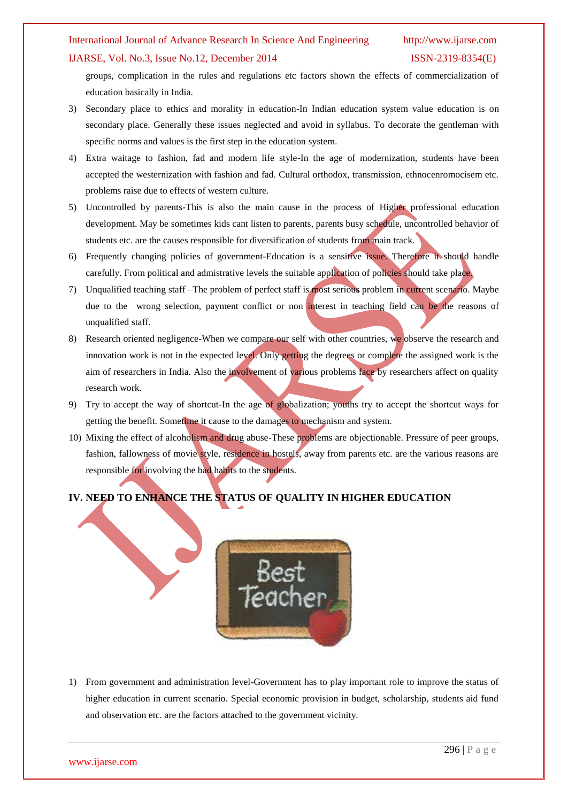### International Journal of Advance Research In Science And Engineering http://www.ijarse.com

### IJARSE, Vol. No.3, Issue No.12, December 2014 ISSN-2319-8354(E)

groups, complication in the rules and regulations etc factors shown the effects of commercialization of education basically in India.

- 3) Secondary place to ethics and morality in education-In Indian education system value education is on secondary place. Generally these issues neglected and avoid in syllabus. To decorate the gentleman with specific norms and values is the first step in the education system.
- 4) Extra waitage to fashion, fad and modern life style-In the age of modernization, students have been accepted the westernization with fashion and fad. Cultural orthodox, transmission, ethnocenromocisem etc. problems raise due to effects of western culture.
- 5) Uncontrolled by parents-This is also the main cause in the process of Higher professional education development. May be sometimes kids cant listen to parents, parents busy schedule, uncontrolled behavior of students etc. are the causes responsible for diversification of students from main track.
- 6) Frequently changing policies of government-Education is a sensitive issue. Therefore it should handle carefully. From political and admistrative levels the suitable application of policies should take place.
- 7) Unqualified teaching staff –The problem of perfect staff is most serious problem in current scenario. Maybe due to the wrong selection, payment conflict or non interest in teaching field can be the reasons of unqualified staff.
- 8) Research oriented negligence-When we compare our self with other countries, we observe the research and innovation work is not in the expected level. Only getting the degrees or complete the assigned work is the aim of researchers in India. Also the involvement of various problems face by researchers affect on quality research work.
- 9) Try to accept the way of shortcut-In the age of globalization; youths try to accept the shortcut ways for getting the benefit. Sometime it cause to the damages to mechanism and system.
- 10) Mixing the effect of alcoholism and drug abuse-These problems are objectionable. Pressure of peer groups, fashion, fallowness of movie style, residence in hostels, away from parents etc. are the various reasons are responsible for involving the bad habits to the students.

## **IV. NEED TO ENHANCE THE STATUS OF QUALITY IN HIGHER EDUCATION**



1) From government and administration level-Government has to play important role to improve the status of higher education in current scenario. Special economic provision in budget, scholarship, students aid fund and observation etc. are the factors attached to the government vicinity.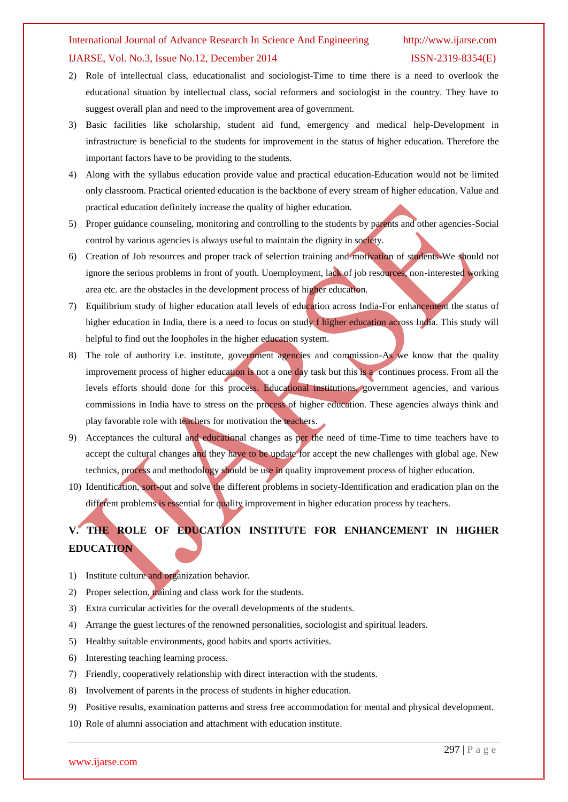### International Journal of Advance Research In Science And Engineering http://www.ijarse.com

### IJARSE, Vol. No.3, Issue No.12, December 2014 ISSN-2319-8354(E)

- 2) Role of intellectual class, educationalist and sociologist-Time to time there is a need to overlook the educational situation by intellectual class, social reformers and sociologist in the country. They have to suggest overall plan and need to the improvement area of government.
- 3) Basic facilities like scholarship, student aid fund, emergency and medical help-Development in infrastructure is beneficial to the students for improvement in the status of higher education. Therefore the important factors have to be providing to the students.
- 4) Along with the syllabus education provide value and practical education-Education would not be limited only classroom. Practical oriented education is the backbone of every stream of higher education. Value and practical education definitely increase the quality of higher education.
- 5) Proper guidance counseling, monitoring and controlling to the students by parents and other agencies-Social control by various agencies is always useful to maintain the dignity in society.
- 6) Creation of Job resources and proper track of selection training and motivation of students-We should not ignore the serious problems in front of youth. Unemployment, lack of job resources, non-interested working area etc. are the obstacles in the development process of higher education.
- 7) Equilibrium study of higher education atall levels of education across India-For enhancement the status of higher education in India, there is a need to focus on study f higher education across India. This study will helpful to find out the loopholes in the higher education system.
- 8) The role of authority i.e. institute, government agencies and commission-As we know that the quality improvement process of higher education is not a one day task but this is a continues process. From all the levels efforts should done for this process. Educational institutions, government agencies, and various commissions in India have to stress on the process of higher education. These agencies always think and play favorable role with teachers for motivation the teachers.
- 9) Acceptances the cultural and educational changes as per the need of time-Time to time teachers have to accept the cultural changes and they have to be update for accept the new challenges with global age. New technics, process and methodology should be use in quality improvement process of higher education.
- 10) Identification, sort-out and solve the different problems in society-Identification and eradication plan on the different problems is essential for quality improvement in higher education process by teachers.

# **V. THE ROLE OF EDUCATION INSTITUTE FOR ENHANCEMENT IN HIGHER EDUCATION**

- 1) Institute culture and organization behavior.
- 2) Proper selection, training and class work for the students.
- 3) Extra curricular activities for the overall developments of the students.
- 4) Arrange the guest lectures of the renowned personalities, sociologist and spiritual leaders.
- 5) Healthy suitable environments, good habits and sports activities.
- 6) Interesting teaching learning process.
- 7) Friendly, cooperatively relationship with direct interaction with the students.
- 8) Involvement of parents in the process of students in higher education.
- 9) Positive results, examination patterns and stress free accommodation for mental and physical development.
- 10) Role of alumni association and attachment with education institute.